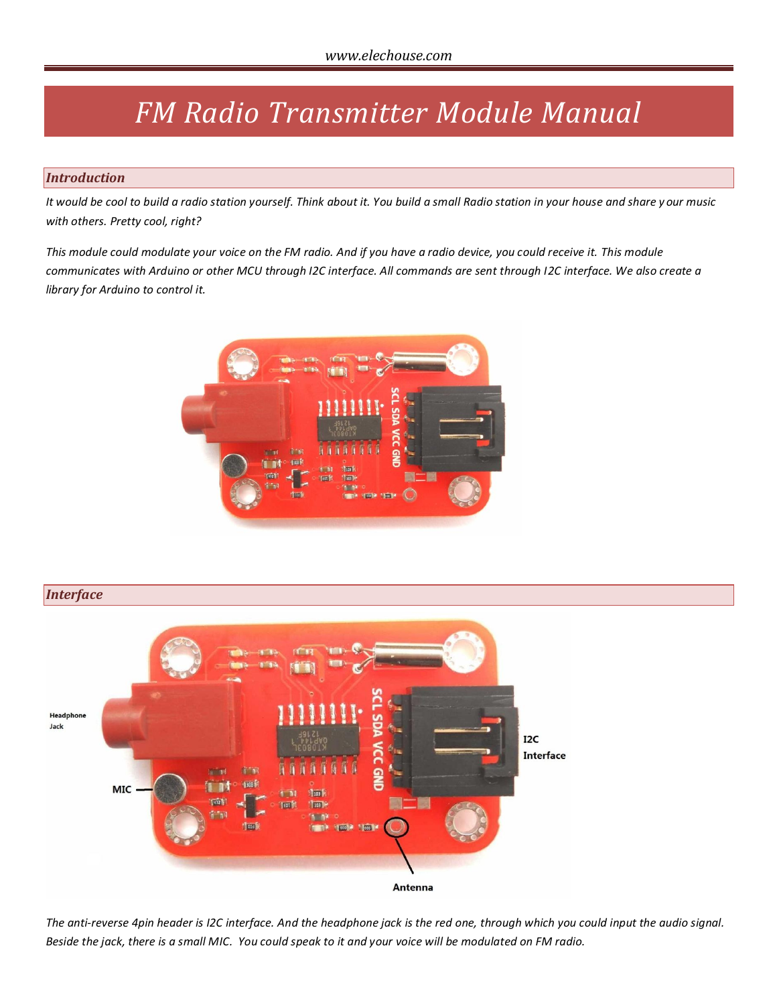# *FM Radio Transmitter Module Manual*

### *Introduction*

*It would be cool to build a radio station yourself. Think about it. You build a small Radio station in your house and share y our music with others. Pretty cool, right?*

*This module could modulate your voice on the FM radio. And if you have a radio device, you could receive it. This module communicates with Arduino or other MCU through I2C interface. All commands are sent through I2C interface. We also create a library for Arduino to control it.*



## *Interface*



*The anti-reverse 4pin header is I2C interface. And the headphone jack is the red one, through which you could input the audio signal. Beside the jack, there is a small MIC. You could speak to it and your voice will be modulated on FM radio.*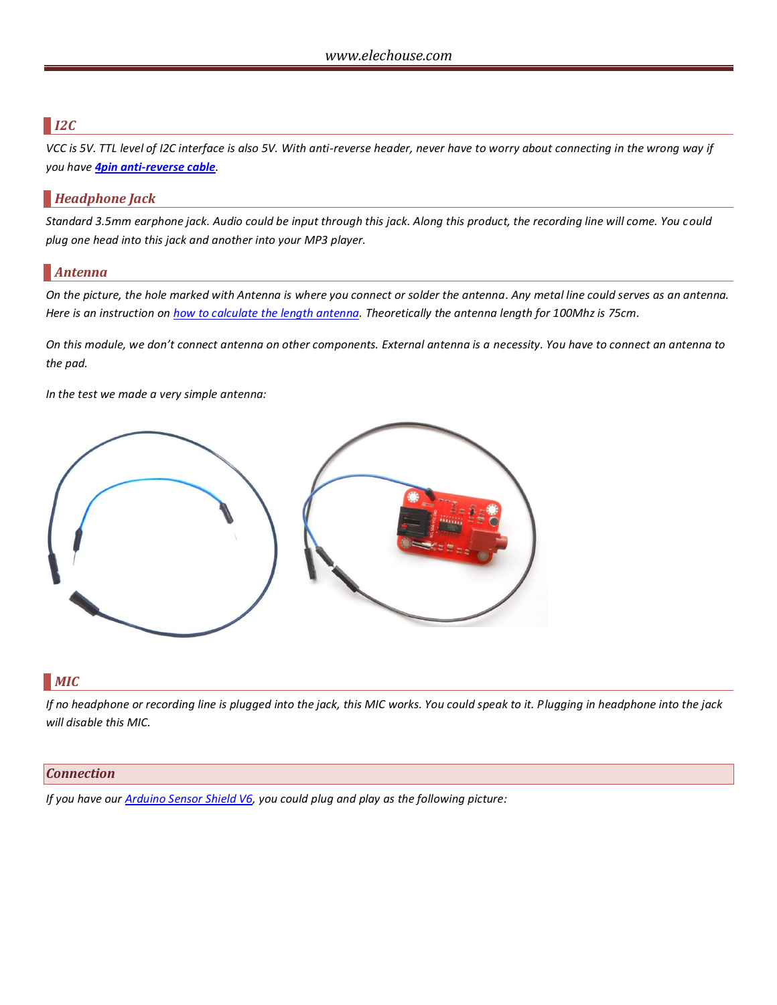## *I2C*

*VCC is 5V. TTL level of I2C interface is also 5V. With anti-reverse header, never have to worry about connecting in the wrong way if you have 4pin [anti-reverse cable](http://www.elechouse.com/elechouse/index.php?main_page=product_info&cPath=105_115&products_id=484).*

## *Headphone Jack*

*Standard 3.5mm earphone jack. Audio could be input through this jack. Along this product, the recording line will come. You could plug one head into this jack and another into your MP3 player.*

## *Antenna*

*On the picture, the hole marked with Antenna is where you connect or solder the antenna. Any metal line could serves as an antenna. Here is an instruction o[n how to calculate the length antenna.](http://www.ehow.com/how_5990599_calculate-fm-antenna-length.html) Theoretically the antenna length for 100Mhz is 75cm.* 

*On this module, we don't connect antenna on other components. External antenna is a necessity. You have to connect an antenna to the pad.*

*In the test we made a very simple antenna:*



## *MIC*

*If no headphone or recording line is plugged into the jack, this MIC works. You could speak to it. Plugging in headphone into the jack will disable this MIC.* 

#### *Connection*

*If you have our [Arduino Sensor Shield V6,](http://www.elechouse.com/elechouse/index.php?main_page=product_info&cPath=74&products_id=2198) you could plug and play as the following picture:*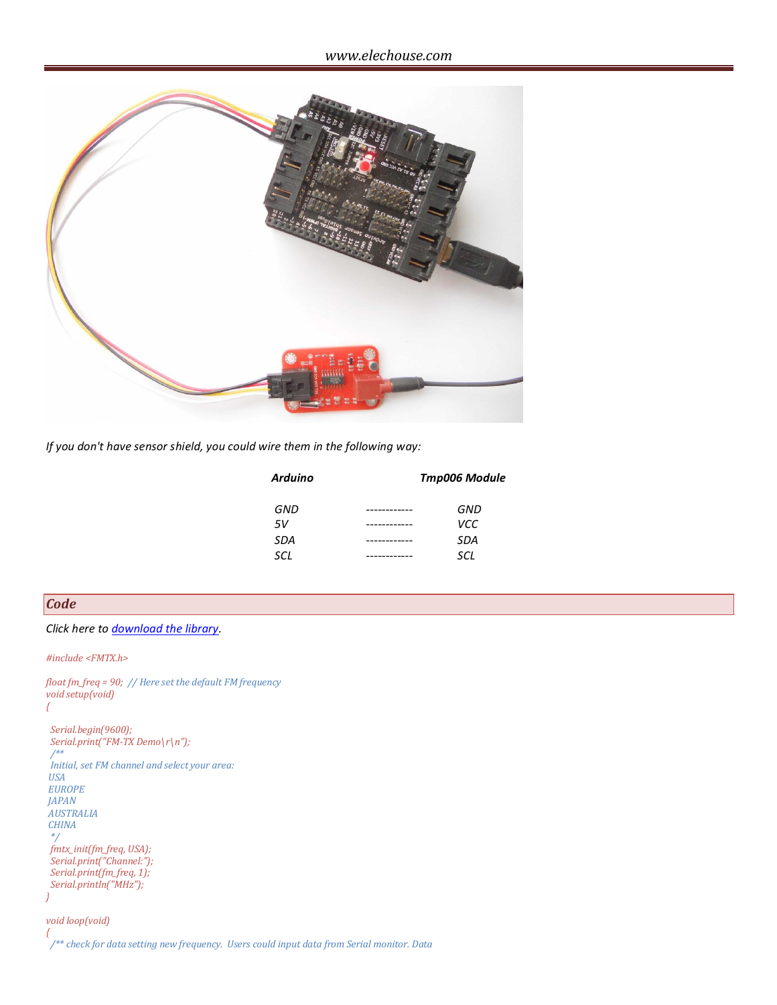

*If you don't have sensor shield, you could wire them in the following way:*

| <b>Arduino</b> | <b>Tmp006 Module</b> |  |
|----------------|----------------------|--|
| GND            | GND                  |  |
| .5V            | VCC.                 |  |
| <b>SDA</b>     | SDA                  |  |
| SCL            | SCL                  |  |
|                |                      |  |

*Code*

*Click here to [download the library.](http://www.elechouse.com/elechouse/images/product/FM%20Transmitter%20Module/FMTX.rar)*

*#include <FMTX.h>*

*float fm\_freq = 90; // Here set the default FM frequency void setup(void) { Serial.begin(9600); Serial.print("FM-TX Demo\r\n"); /\*\* Initial, set FM channel and select your area:*

*USA EUROPE JAPAN AUSTRALIA CHINA \*/ fmtx\_init(fm\_freq, USA); Serial.print("Channel:"); Serial.print(fm\_freq, 1); Serial.println("MHz"); }*

*void loop(void) {*

 */\*\* check for data setting new frequency. Users could input data from Serial monitor. Data*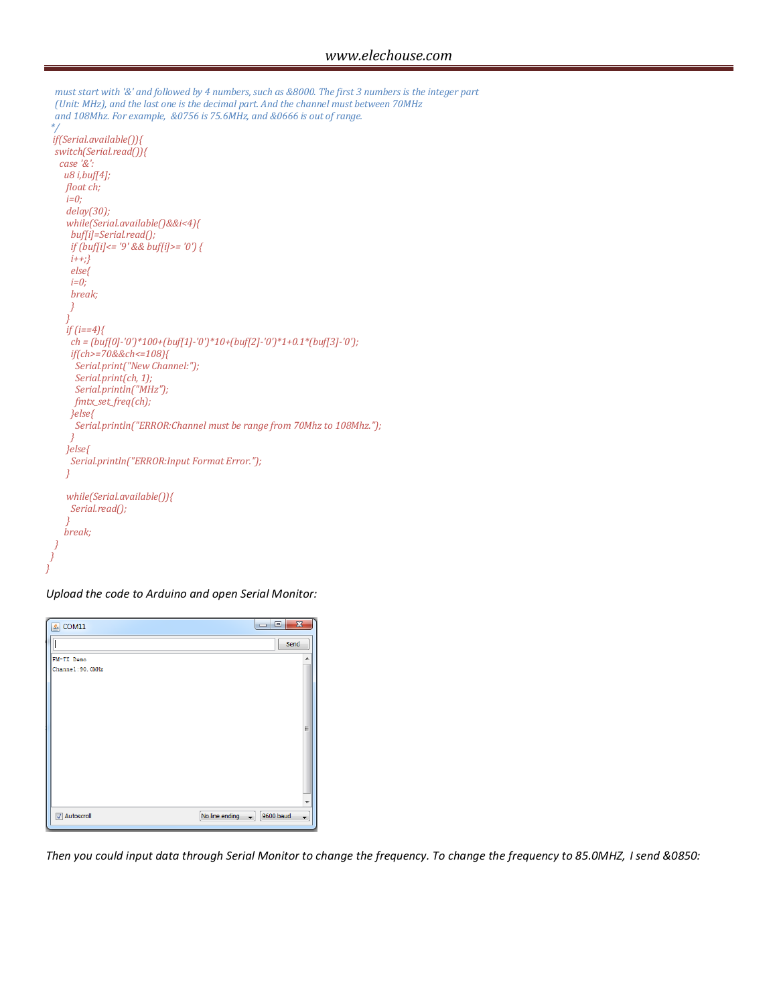```
 must start with '&' and followed by 4 numbers, such as &8000. The first 3 numbers is the integer part
 (Unit: MHz), and the last one is the decimal part. And the channel must between 70MHz
 and 108Mhz. For example, &0756 is 75.6MHz, and &0666 is out of range.
*/
if(Serial.available()){
 switch(Serial.read()){
  case '&':
   u8 i,buf[4];
    float ch;
    i=0;
    delay(30);
    while(Serial.available()&&i<4){
     buf[i]=Serial.read();
     if (buf[i]<= '9' && buf[i]>= '0') { 
     i++;}
     else{
     i=0;
     break;
}
}
    if (i==4){
     ch = (buf[0]-'0')*100+(buf[1]-'0')*10+(buf[2]-'0')*1+0.1*(buf[3]-'0');
     if(ch>=70&&ch<=108){
      Serial.print("New Channel:");
      Serial.print(ch, 1);
      Serial.println("MHz");
      fmtx_set_freq(ch);
     }else{
      Serial.println("ERROR:Channel must be range from 70Mhz to 108Mhz.");
}
    }else{
     Serial.println("ERROR:Input Format Error.");
    }
    while(Serial.available()){
     Serial.read();
}
    break;
}
}
```
*Upload the code to Arduino and open Serial Monitor:*

*}*

| $\frac{2}{3}$ COM11 | $\mathbf{x}$<br>$\Box$<br>$\Box$                        |
|---------------------|---------------------------------------------------------|
|                     | Send                                                    |
| FM-TX Demo          | ▲                                                       |
| Channel: 90, OMHz   |                                                         |
|                     | Ξ<br>÷                                                  |
| Autoscroll          | No line ending<br>$\bullet$ 9600 baud<br>$\blacksquare$ |

*Then you could input data through Serial Monitor to change the frequency. To change the frequency to 85.0MHZ, I send &0850:*